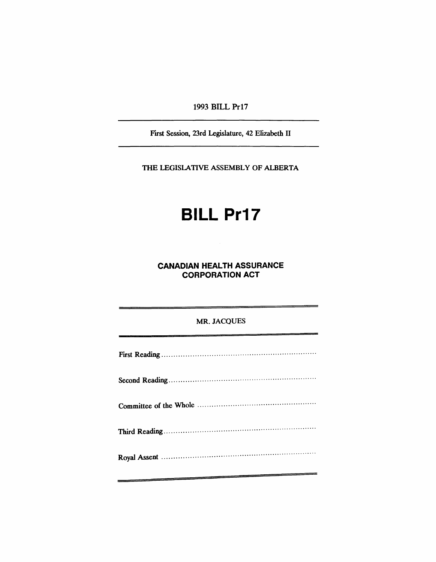## 1993 BILL Pr17

First Session, 23rd Legislature, 42 Elizabeth II

THE LEGISLATIVE ASSEMBLY OF ALBERTA

# **BILL Pr17**

**CANADIAN HEALTH ASSURANCE CORPORATION ACT**

#### MR. JACQUES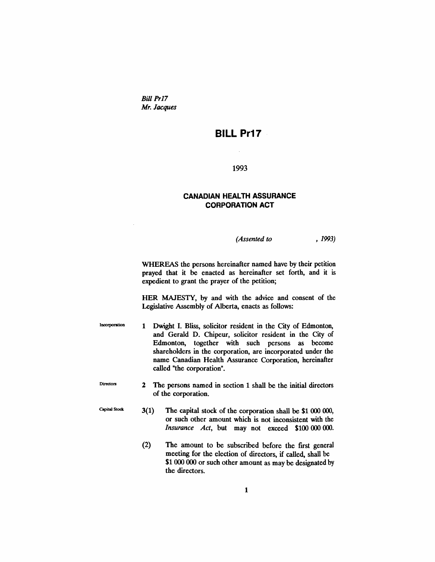Bill Pr17 *Mr. Jacques*

## **BILL Pr17**

#### 1993

### **CANADIAN HEALTH ASSURANCE CORPORATION ACT**

*(Assented to* , 1993)

WHEREAS the persons hereinafter named have by their petition prayed that it be enacted as hereinafter set forth, and it is expedient to grant the prayer of the petition;

HER MAJESTY, by and with the advice and consent of the Legislative Assembly of Alberta, enacts as follows:

Incorporation 1 Dwight I. Bliss, solicitor resident in the City of Edmonton, and Gerald D. Chipeur, solicitor resident in the City of Edmonton, together with such persons as become shareholders in the corporation, are incorporated under the name Canadian Health Assurance Corporation, hereinafter called "the corporation".

Directors 2 The persons named in section 1 shall be the initial directors of the corporation.

Capital Stock

- 3(1) The capital stock of the corporation shall be \$1000 000, or such other amount which is not inconsistent with the *Insurance Act,* but may not exceed \$100 000 000.
- (2) The amount to be subscribed before the fIrst general meeting for the election of directors, if called, shall be \$1 000 000 or such other amount as may be designated by the directors.